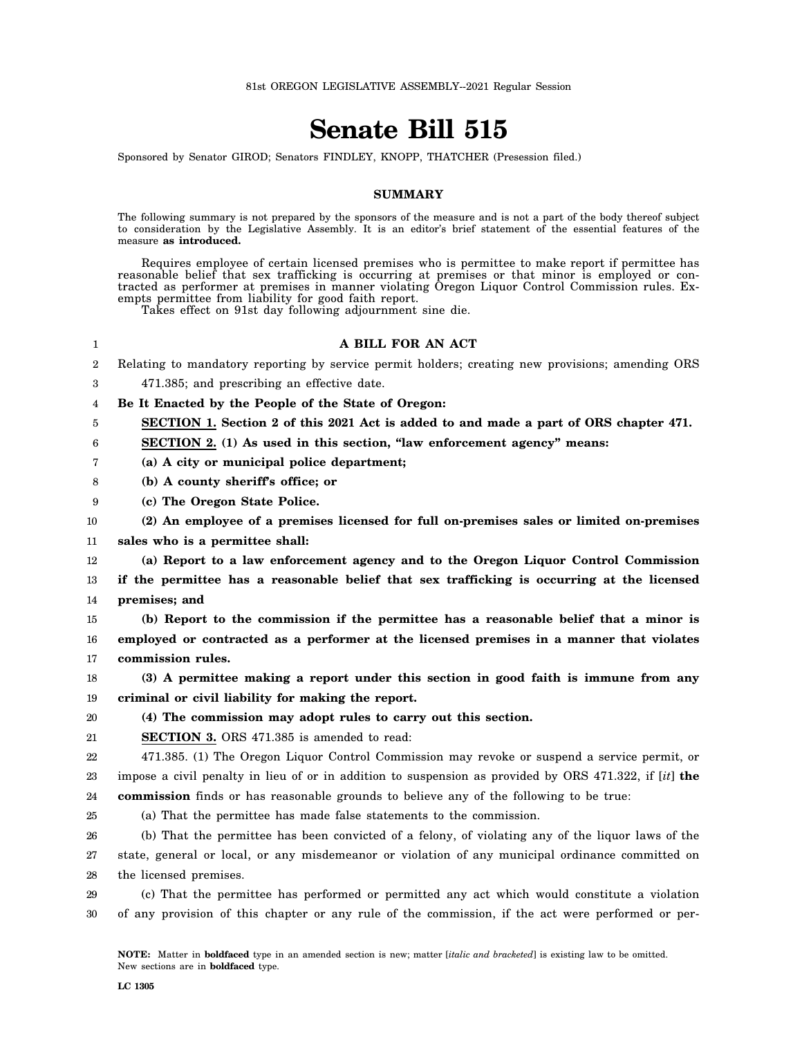# **Senate Bill 515**

Sponsored by Senator GIROD; Senators FINDLEY, KNOPP, THATCHER (Presession filed.)

### **SUMMARY**

The following summary is not prepared by the sponsors of the measure and is not a part of the body thereof subject to consideration by the Legislative Assembly. It is an editor's brief statement of the essential features of the measure **as introduced.**

Requires employee of certain licensed premises who is permittee to make report if permittee has reasonable belief that sex trafficking is occurring at premises or that minor is employed or contracted as performer at premises in manner violating Oregon Liquor Control Commission rules. Exempts permittee from liability for good faith report.

Takes effect on 91st day following adjournment sine die.

## **A BILL FOR AN ACT**

2 3 Relating to mandatory reporting by service permit holders; creating new provisions; amending ORS 471.385; and prescribing an effective date.

4 **Be It Enacted by the People of the State of Oregon:**

5 **SECTION 1. Section 2 of this 2021 Act is added to and made a part of ORS chapter 471.**

6 **SECTION 2. (1) As used in this section, "law enforcement agency" means:**

7 **(a) A city or municipal police department;**

- 8 **(b) A county sheriff's office; or**
- 9 **(c) The Oregon State Police.**

1

### 10 11 **(2) An employee of a premises licensed for full on-premises sales or limited on-premises sales who is a permittee shall:**

12 13 14 **(a) Report to a law enforcement agency and to the Oregon Liquor Control Commission if the permittee has a reasonable belief that sex trafficking is occurring at the licensed premises; and**

15 16 17 **(b) Report to the commission if the permittee has a reasonable belief that a minor is employed or contracted as a performer at the licensed premises in a manner that violates commission rules.**

18 19 **(3) A permittee making a report under this section in good faith is immune from any criminal or civil liability for making the report.**

#### 20 **(4) The commission may adopt rules to carry out this section.**

21 **SECTION 3.** ORS 471.385 is amended to read:

22 23 24 471.385. (1) The Oregon Liquor Control Commission may revoke or suspend a service permit, or impose a civil penalty in lieu of or in addition to suspension as provided by ORS 471.322, if [*it*] **the commission** finds or has reasonable grounds to believe any of the following to be true:

25 (a) That the permittee has made false statements to the commission.

26 27 28 (b) That the permittee has been convicted of a felony, of violating any of the liquor laws of the state, general or local, or any misdemeanor or violation of any municipal ordinance committed on the licensed premises.

29 30 (c) That the permittee has performed or permitted any act which would constitute a violation of any provision of this chapter or any rule of the commission, if the act were performed or per